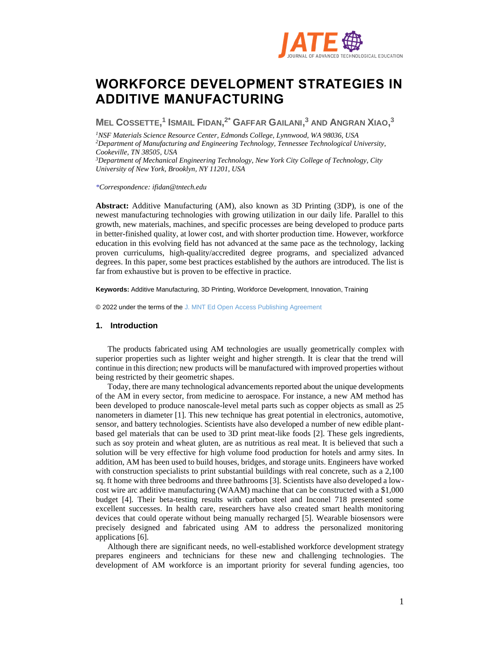

# **WORKFORCE DEVELOPMENT STRATEGIES IN ADDITIVE MANUFACTURING**

MEL COSSETTE,<sup>1</sup> ISMAIL FIDAN,<sup>2\*</sup> GAFFAR GAILANI,<sup>3</sup> AND ANGRAN XIAO,<sup>3</sup>

*NSF Materials Science Resource Center, Edmonds College, Lynnwood, WA 98036, USA Department of Manufacturing and Engineering Technology, Tennessee Technological University, Cookeville, TN 38505, USA Department of Mechanical Engineering Technology, New York City College of Technology, City* 

*\*Correspondence: [ifidan@tntech.edu](mailto:ifidan@tntech.edu)*

*University of New York, Brooklyn, NY 11201, USA*

**Abstract:** Additive Manufacturing (AM), also known as 3D Printing (3DP), is one of the newest manufacturing technologies with growing utilization in our daily life. Parallel to this growth, new materials, machines, and specific processes are being developed to produce parts in better-finished quality, at lower cost, and with shorter production time. However, workforce education in this evolving field has not advanced at the same pace as the technology, lacking proven curriculums, high-quality/accredited degree programs, and specialized advanced degrees. In this paper, some best practices established by the authors are introduced. The list is far from exhaustive but is proven to be effective in practice.

**Keywords:** Additive Manufacturing, 3D Printing, Workforce Development, Innovation, Training

© 2022 under the terms of the J. MNT Ed Open Access Publishing Agreement

### **1. Introduction**

The products fabricated using AM technologies are usually geometrically complex with superior properties such as lighter weight and higher strength. It is clear that the trend will continue in this direction; new products will be manufactured with improved properties without being restricted by their geometric shapes.

Today, there are many technological advancements reported about the unique developments of the AM in every sector, from medicine to aerospace. For instance, a new AM method has been developed to produce nanoscale-level metal parts such as copper objects as small as 25 nanometers in diameter [1]. This new technique has great potential in electronics, automotive, sensor, and battery technologies. Scientists have also developed a number of new edible plantbased gel materials that can be used to 3D print meat-like foods [2]. These gels ingredients, such as soy protein and wheat gluten, are as nutritious as real meat. It is believed that such a solution will be very effective for high volume food production for hotels and army sites. In addition, AM has been used to build houses, bridges, and storage units. Engineers have worked with construction specialists to print substantial buildings with real concrete, such as a 2,100 sq. ft home with three bedrooms and three bathrooms [3]. Scientists have also developed a lowcost wire arc additive manufacturing (WAAM) machine that can be constructed with a \$1,000 budget [4]. Their beta-testing results with carbon steel and Inconel 718 presented some excellent successes. In health care, researchers have also created smart health monitoring devices that could operate without being manually recharged [5]. Wearable biosensors were precisely designed and fabricated using AM to address the personalized monitoring applications [6].

Although there are significant needs, no well-established workforce development strategy prepares engineers and technicians for these new and challenging technologies. The development of AM workforce is an important priority for several funding agencies, too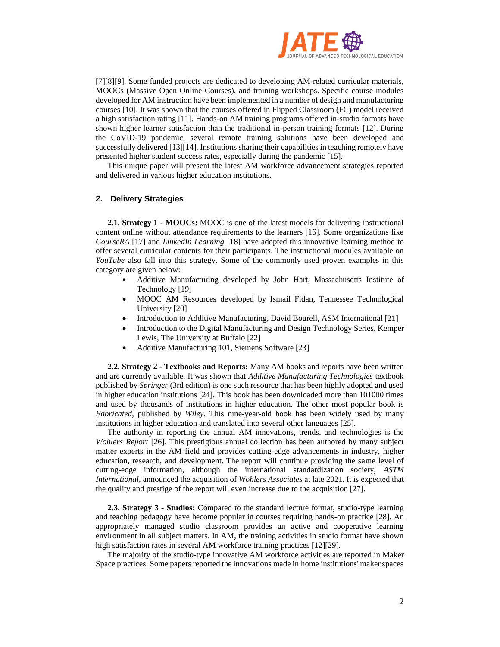

[7][8][9]. Some funded projects are dedicated to developing AM-related curricular materials, MOOCs (Massive Open Online Courses), and training workshops. Specific course modules developed for AM instruction have been implemented in a number of design and manufacturing courses [10]. It was shown that the courses offered in Flipped Classroom (FC) model received a high satisfaction rating [11]. Hands-on AM training programs offered in-studio formats have shown higher learner satisfaction than the traditional in-person training formats [12]. During the CoVID-19 pandemic, several remote training solutions have been developed and successfully delivered [13][14]. Institutions sharing their capabilities in teaching remotely have presented higher student success rates, especially during the pandemic [15].

This unique paper will present the latest AM workforce advancement strategies reported and delivered in various higher education institutions.

## **2. Delivery Strategies**

**2.1. Strategy 1 - MOOCs:** MOOC is one of the latest models for delivering instructional content online without attendance requirements to the learners [16]. Some organizations like *CourseRA* [17] and *LinkedIn Learning* [18] have adopted this innovative learning method to offer several curricular contents for their participants. The instructional modules available on *YouTube* also fall into this strategy. Some of the commonly used proven examples in this category are given below:

- Additive Manufacturing developed by John Hart, Massachusetts Institute of Technology [19]
- MOOC AM Resources developed by Ismail Fidan, Tennessee Technological University [20]
- Introduction to Additive Manufacturing, David Bourell, ASM International [21]
- Introduction to the Digital Manufacturing and Design Technology Series, Kemper Lewis, The University at Buffalo [22]
- Additive Manufacturing 101, Siemens Software [23]

**2.2. Strategy 2 - Textbooks and Reports:** Many AM books and reports have been written and are currently available. It was shown that *Additive Manufacturing Technologies* textbook published by *Springer* (3rd edition) is one such resource that has been highly adopted and used in higher education institutions [24]. This book has been downloaded more than 101000 times and used by thousands of institutions in higher education. The other most popular book is *Fabricated*, published by *Wiley*. This nine-year-old book has been widely used by many institutions in higher education and translated into several other languages [25].

The authority in reporting the annual AM innovations, trends, and technologies is the *Wohlers Report* [26]. This prestigious annual collection has been authored by many subject matter experts in the AM field and provides cutting-edge advancements in industry, higher education, research, and development. The report will continue providing the same level of cutting-edge information, although the international standardization society, *ASTM International*, announced the acquisition of *Wohlers Associates* at late 2021. It is expected that the quality and prestige of the report will even increase due to the acquisition [27].

**2.3. Strategy 3 - Studios:** Compared to the standard lecture format, studio-type learning and teaching pedagogy have become popular in courses requiring hands-on practice [28]. An appropriately managed studio classroom provides an active and cooperative learning environment in all subject matters. In AM, the training activities in studio format have shown high satisfaction rates in several AM workforce training practices [12][29].

The majority of the studio-type innovative AM workforce activities are reported in Maker Space practices. Some papers reported the innovations made in home institutions' maker spaces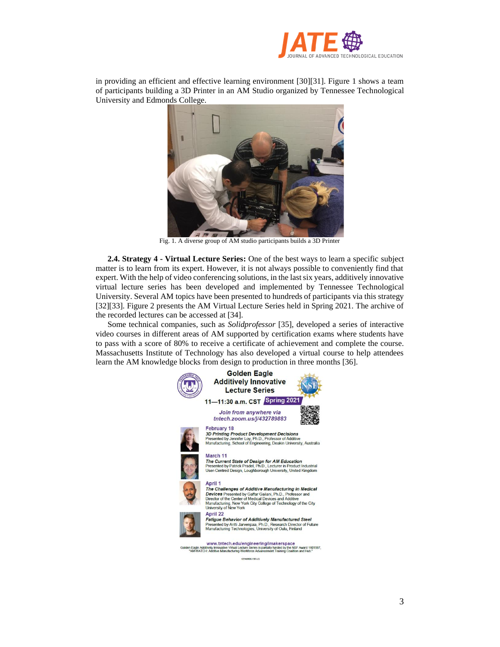

in providing an efficient and effective learning environment [30][31]. Figure 1 shows a team of participants building a 3D Printer in an AM Studio organized by Tennessee Technological University and Edmonds College.



Fig. 1. A diverse group of AM studio participants builds a 3D Printer

**2.4. Strategy 4 - Virtual Lecture Series:** One of the best ways to learn a specific subject matter is to learn from its expert. However, it is not always possible to conveniently find that expert. With the help of video conferencing solutions, in the last six years, additively innovative virtual lecture series has been developed and implemented by Tennessee Technological University. Several AM topics have been presented to hundreds of participants via this strategy [32][33]. Figure 2 presents the AM Virtual Lecture Series held in Spring 2021. The archive of the recorded lectures can be accessed at [34].

Some technical companies, such as *Solidprofessor* [35], developed a series of interactive video courses in different areas of AM supported by certification exams where students have to pass with a score of 80% to receive a certificate of achievement and complete the course. Massachusetts Institute of Technology has also developed a virtual course to help attendees learn the AM knowledge blocks from design to production in three months [36].

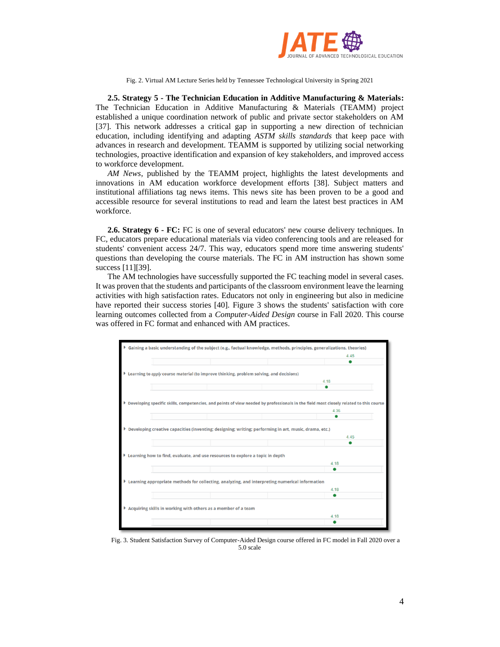

Fig. 2. Virtual AM Lecture Series held by Tennessee Technological University in Spring 2021

**2.5. Strategy 5 - The Technician Education in Additive Manufacturing & Materials:** The Technician Education in Additive Manufacturing & Materials (TEAMM) project established a unique coordination network of public and private sector stakeholders on AM [37]. This network addresses a critical gap in supporting a new direction of technician education, including identifying and adapting *ASTM skills standards* that keep pace with advances in research and development. TEAMM is supported by utilizing social networking technologies, proactive identification and expansion of key stakeholders, and improved access to workforce development.

*AM News*, published by the TEAMM project, highlights the latest developments and innovations in AM education workforce development efforts [38]. Subject matters and institutional affiliations tag news items. This news site has been proven to be a good and accessible resource for several institutions to read and learn the latest best practices in AM workforce.

**2.6. Strategy 6 - FC:** FC is one of several educators' new course delivery techniques. In FC, educators prepare educational materials via video conferencing tools and are released for students' convenient access 24/7. This way, educators spend more time answering students' questions than developing the course materials. The FC in AM instruction has shown some success [11][39].

The AM technologies have successfully supported the FC teaching model in several cases. It was proven that the students and participants of the classroom environment leave the learning activities with high satisfaction rates. Educators not only in engineering but also in medicine have reported their success stories [40]. Figure 3 shows the students' satisfaction with core learning outcomes collected from a *Computer-Aided Design* course in Fall 2020. This course was offered in FC format and enhanced with AM practices.



Fig. 3. Student Satisfaction Survey of Computer-Aided Design course offered in FC model in Fall 2020 over a 5.0 scale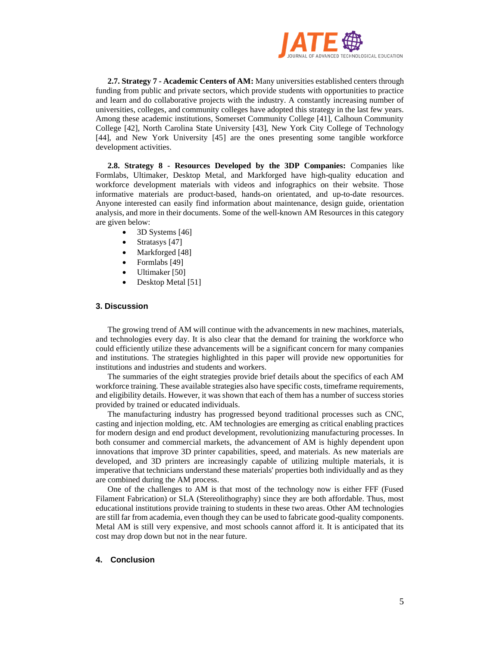

**2.7. Strategy 7 - Academic Centers of AM:** Many universities established centers through funding from public and private sectors, which provide students with opportunities to practice and learn and do collaborative projects with the industry. A constantly increasing number of universities, colleges, and community colleges have adopted this strategy in the last few years. Among these academic institutions, Somerset Community College [41], Calhoun Community College [42], North Carolina State University [43], New York City College of Technology [44], and New York University [45] are the ones presenting some tangible workforce development activities.

**2.8. Strategy 8 - Resources Developed by the 3DP Companies:** Companies like Formlabs, Ultimaker, Desktop Metal, and Markforged have high-quality education and workforce development materials with videos and infographics on their website. Those informative materials are product-based, hands-on orientated, and up-to-date resources. Anyone interested can easily find information about maintenance, design guide, orientation analysis, and more in their documents. Some of the well-known AM Resources in this category are given below:

- 3D Systems [46]
- Stratasys [47]
- Markforged [48]
- Formlabs [49]
- Ultimaker [50]
- Desktop Metal [51]

### **3. Discussion**

The growing trend of AM will continue with the advancements in new machines, materials, and technologies every day. It is also clear that the demand for training the workforce who could efficiently utilize these advancements will be a significant concern for many companies and institutions. The strategies highlighted in this paper will provide new opportunities for institutions and industries and students and workers.

The summaries of the eight strategies provide brief details about the specifics of each AM workforce training. These available strategies also have specific costs, timeframe requirements, and eligibility details. However, it was shown that each of them has a number of success stories provided by trained or educated individuals.

The manufacturing industry has progressed beyond traditional processes such as CNC, casting and injection molding, etc. AM technologies are emerging as critical enabling practices for modern design and end product development, revolutionizing manufacturing processes. In both consumer and commercial markets, the advancement of AM is highly dependent upon innovations that improve 3D printer capabilities, speed, and materials. As new materials are developed, and 3D printers are increasingly capable of utilizing multiple materials, it is imperative that technicians understand these materials' properties both individually and as they are combined during the AM process.

One of the challenges to AM is that most of the technology now is either FFF (Fused Filament Fabrication) or SLA (Stereolithography) since they are both affordable. Thus, most educational institutions provide training to students in these two areas. Other AM technologies are still far from academia, even though they can be used to fabricate good-quality components. Metal AM is still very expensive, and most schools cannot afford it. It is anticipated that its cost may drop down but not in the near future.

### **4. Conclusion**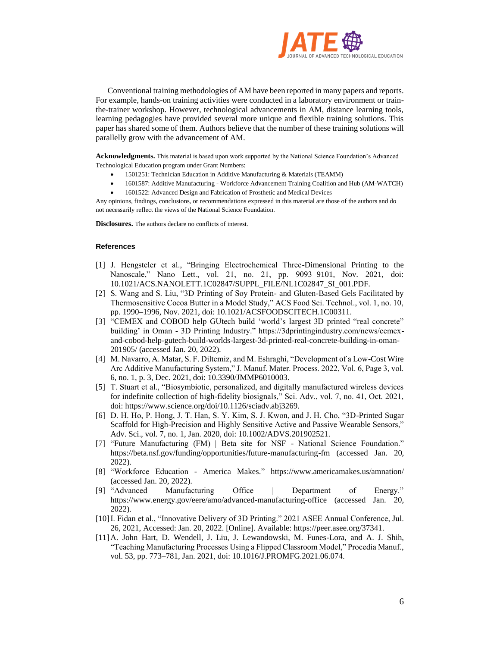

Conventional training methodologies of AM have been reported in many papers and reports. For example, hands-on training activities were conducted in a laboratory environment or trainthe-trainer workshop. However, technological advancements in AM, distance learning tools, learning pedagogies have provided several more unique and flexible training solutions. This paper has shared some of them. Authors believe that the number of these training solutions will parallelly grow with the advancement of AM.

**Acknowledgments.** This material is based upon work supported by the National Science Foundation's Advanced Technological Education program under Grant Numbers:

- 1501251: Technician Education in Additive Manufacturing & Materials (TEAMM)
- 1601587: Additive Manufacturing Workforce Advancement Training Coalition and Hub (AM-WATCH)
- 1601522: Advanced Design and Fabrication of Prosthetic and Medical Devices

Any opinions, findings, conclusions, or recommendations expressed in this material are those of the authors and do not necessarily reflect the views of the National Science Foundation.

**Disclosures.** The authors declare no conflicts of interest.

### **References**

- [1] J. Hengsteler et al., "Bringing Electrochemical Three-Dimensional Printing to the Nanoscale," Nano Lett., vol. 21, no. 21, pp. 9093–9101, Nov. 2021, doi: 10.1021/ACS.NANOLETT.1C02847/SUPPL\_FILE/NL1C02847\_SI\_001.PDF.
- [2] S. Wang and S. Liu, "3D Printing of Soy Protein- and Gluten-Based Gels Facilitated by Thermosensitive Cocoa Butter in a Model Study," ACS Food Sci. Technol., vol. 1, no. 10, pp. 1990–1996, Nov. 2021, doi: 10.1021/ACSFOODSCITECH.1C00311.
- [3] "CEMEX and COBOD help GUtech build 'world's largest 3D printed "real concrete" building' in Oman - 3D Printing Industry." https://3dprintingindustry.com/news/cemexand-cobod-help-gutech-build-worlds-largest-3d-printed-real-concrete-building-in-oman-201905/ (accessed Jan. 20, 2022).
- [4] M. Navarro, A. Matar, S. F. Diltemiz, and M. Eshraghi, "Development of a Low-Cost Wire Arc Additive Manufacturing System," J. Manuf. Mater. Process. 2022, Vol. 6, Page 3, vol. 6, no. 1, p. 3, Dec. 2021, doi: 10.3390/JMMP6010003.
- [5] T. Stuart et al., "Biosymbiotic, personalized, and digitally manufactured wireless devices for indefinite collection of high-fidelity biosignals," Sci. Adv., vol. 7, no. 41, Oct. 2021, doi: https://www.science.org/doi/10.1126/sciadv.abj3269.
- [6] D. H. Ho, P. Hong, J. T. Han, S. Y. Kim, S. J. Kwon, and J. H. Cho, "3D-Printed Sugar Scaffold for High-Precision and Highly Sensitive Active and Passive Wearable Sensors," Adv. Sci., vol. 7, no. 1, Jan. 2020, doi: 10.1002/ADVS.201902521.
- [7] "Future Manufacturing (FM) | Beta site for NSF National Science Foundation." https://beta.nsf.gov/funding/opportunities/future-manufacturing-fm (accessed Jan. 20, 2022).
- [8] "Workforce Education America Makes." https://www.americamakes.us/amnation/ (accessed Jan. 20, 2022).
- [9] "Advanced Manufacturing Office | Department of Energy." https://www.energy.gov/eere/amo/advanced-manufacturing-office (accessed Jan. 20, 2022).
- [10]I. Fidan et al., "Innovative Delivery of 3D Printing." 2021 ASEE Annual Conference, Jul. 26, 2021, Accessed: Jan. 20, 2022. [Online]. Available: https://peer.asee.org/37341.
- [11]A. John Hart, D. Wendell, J. Liu, J. Lewandowski, M. Funes-Lora, and A. J. Shih, "Teaching Manufacturing Processes Using a Flipped Classroom Model," Procedia Manuf., vol. 53, pp. 773–781, Jan. 2021, doi: 10.1016/J.PROMFG.2021.06.074.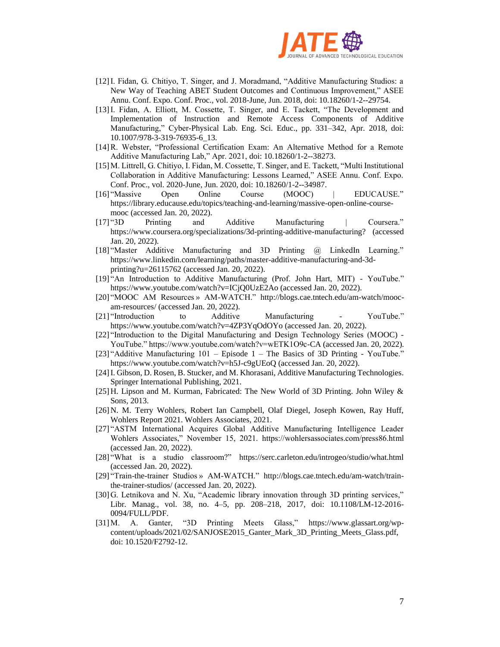

- [12]I. Fidan, G. Chitiyo, T. Singer, and J. Moradmand, "Additive Manufacturing Studios: a New Way of Teaching ABET Student Outcomes and Continuous Improvement," ASEE Annu. Conf. Expo. Conf. Proc., vol. 2018-June, Jun. 2018, doi: 10.18260/1-2--29754.
- [13]I. Fidan, A. Elliott, M. Cossette, T. Singer, and E. Tackett, "The Development and Implementation of Instruction and Remote Access Components of Additive Manufacturing," Cyber-Physical Lab. Eng. Sci. Educ., pp. 331–342, Apr. 2018, doi: 10.1007/978-3-319-76935-6\_13.
- [14]R. Webster, "Professional Certification Exam: An Alternative Method for a Remote Additive Manufacturing Lab," Apr. 2021, doi: 10.18260/1-2--38273.
- [15]M. Littrell, G. Chitiyo, I. Fidan, M. Cossette, T. Singer, and E. Tackett, "Multi Institutional Collaboration in Additive Manufacturing: Lessons Learned," ASEE Annu. Conf. Expo. Conf. Proc., vol. 2020-June, Jun. 2020, doi: 10.18260/1-2--34987.
- [16] "Massive Open Online Course (MOOC) | EDUCAUSE." https://library.educause.edu/topics/teaching-and-learning/massive-open-online-coursemooc (accessed Jan. 20, 2022).
- [17] "3D Printing and Additive Manufacturing | Coursera." https://www.coursera.org/specializations/3d-printing-additive-manufacturing? (accessed Jan. 20, 2022).
- [18] "Master Additive Manufacturing and 3D Printing @ LinkedIn Learning." https://www.linkedin.com/learning/paths/master-additive-manufacturing-and-3dprinting?u=26115762 (accessed Jan. 20, 2022).
- [19] "An Introduction to Additive Manufacturing (Prof. John Hart, MIT) YouTube." https://www.youtube.com/watch?v=ICjQ0UzE2Ao (accessed Jan. 20, 2022).
- [20] "MOOC AM Resources » AM-WATCH." http://blogs.cae.tntech.edu/am-watch/moocam-resources/ (accessed Jan. 20, 2022).
- [21] "Introduction to Additive Manufacturing YouTube." https://www.youtube.com/watch?v=4ZP3YqOdOYo (accessed Jan. 20, 2022).
- [22] "Introduction to the Digital Manufacturing and Design Technology Series (MOOC) YouTube." https://www.youtube.com/watch?v=wETK1O9c-CA (accessed Jan. 20, 2022).
- [23] "Additive Manufacturing 101 Episode 1 The Basics of 3D Printing YouTube." https://www.youtube.com/watch?v=h5J-c9gUEoQ (accessed Jan. 20, 2022).
- [24]I. Gibson, D. Rosen, B. Stucker, and M. Khorasani, Additive Manufacturing Technologies. Springer International Publishing, 2021.
- [25]H. Lipson and M. Kurman, Fabricated: The New World of 3D Printing. John Wiley & Sons, 2013.
- [26]N. M. Terry Wohlers, Robert Ian Campbell, Olaf Diegel, Joseph Kowen, Ray Huff, Wohlers Report 2021. Wohlers Associates, 2021.
- [27] "ASTM International Acquires Global Additive Manufacturing Intelligence Leader Wohlers Associates," November 15, 2021. https://wohlersassociates.com/press86.html (accessed Jan. 20, 2022).
- [28] "What is a studio classroom?" https://serc.carleton.edu/introgeo/studio/what.html (accessed Jan. 20, 2022).
- [29] "Train-the-trainer Studios » AM-WATCH." http://blogs.cae.tntech.edu/am-watch/trainthe-trainer-studios/ (accessed Jan. 20, 2022).
- [30]G. Letnikova and N. Xu, "Academic library innovation through 3D printing services," Libr. Manag., vol. 38, no. 4–5, pp. 208–218, 2017, doi: 10.1108/LM-12-2016- 0094/FULL/PDF.
- [31]M. A. Ganter, "3D Printing Meets Glass," https://www.glassart.org/wpcontent/uploads/2021/02/SANJOSE2015\_Ganter\_Mark\_3D\_Printing\_Meets\_Glass.pdf, doi: 10.1520/F2792-12.